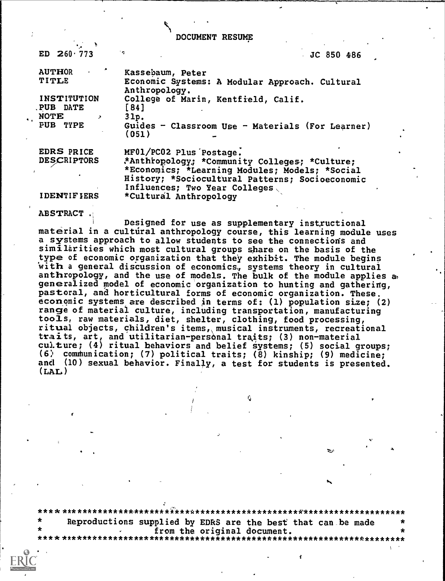DOCUMENT RESUME

ED  $260 \cdot 773$ 

JC 850 486

| <b>AUTHOR</b><br>TITLE | Kassebaum, Peter<br>Economic Systems: A Modular Approach. Cultural<br>Anthropology. |
|------------------------|-------------------------------------------------------------------------------------|
| <b>INSTITUTION</b>     | College of Marin, Kentfield, Calif.                                                 |
| PUB DATE               | [84]                                                                                |
| NOTE<br>$\rightarrow$  | $31p$ .                                                                             |
| <b>FUB TYPE</b>        | Guides - Classroom Use - Materials (For Learner)<br>(051)                           |
| EDRS PRICE             | MF01/PC02 Plus Postage.                                                             |
| <b>DESCRIPTORS</b>     | *Anthropology; *Community Colleges; *Culture;                                       |
|                        | *Economics; *Learning Modules; Models; *Social                                      |
|                        | History; *Sociocultural Patterns; Socioeconomic                                     |
|                        | Influences; Two Year Colleges                                                       |
| <b>IDENTIFIERS</b>     | *Cultural Anthropology                                                              |

ABSTRACT ,

Designed for use as supplementary instructional material in a cultural anthropology course, this learning module uses a systems approach to allow students to see the connections and similarities which most cultural groups share on the basis of the type of economic organization that they exhibit. The module begins With a general disCussion of economics, systems theory in cultural anthropology, and the use of models. The bulk of the module applies as generalized model of economic organization to hunting and gathering, pastoral, and horticultural forms of economic organization. These. economic systems are described in terms of: (1) population size; (2) range of material culture, including transportation, manufacturing tools, raw materials, diet, shelter, clothing, food processing, ritual objects, children's items, musical instruments, recreational ttaits, art, and utilitarian-personal traits; (3) non-material culture;  $(4)$  ritual behaviors and belief systems;  $(5)$  social groups;  $(6)$  communication; (7) political traits; (8) kinship; (9) medicine; and (10) sexual behavior. Finally, a test for students is presented.  $(LAL)$ 

\*\*\*\*\*\*\*\*\*\*\*\*\*\*\*\*\*\*\*\*\*\*\*\*\*i\*\*\*\*\*\*\*\*\*\*\*\*\*\*\*\*\*\*\*\*\*\*\*\*\*\*\*\*\*\*\*\*\*\*\*\*\*\*\*\*\*\*\*\*\* Reproductions supplied by EDRS are the best that can be made from the original document. \* \* \*\* \*\*\*\*\*\*\*\*\*\*\*\*\*\*\*\*\*\*\*\*\*\*\*\*\*\*\*\*\*\*\*\*\*\*\*\* \* \* \* \* \* \* \* \* \* \* \* \* \* \* \* \* \* \* \* \* \* \* \* \* \* \* \* \* \* \*\*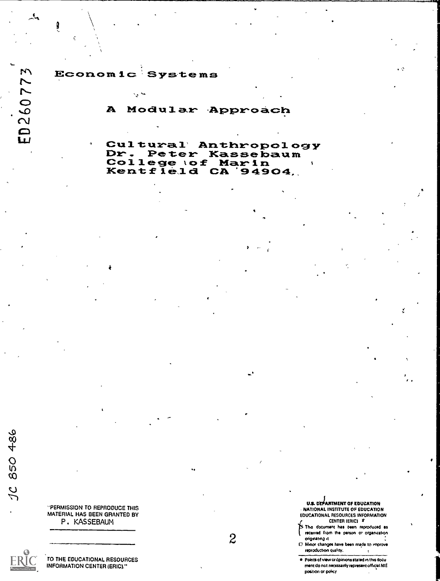M ED26077  $\mathbf{E}$ 

Economic Systems

Sign Prote

 $\ddot{\phantom{a}}$ 

A Modular Approach

Cultural' Anthropology<br>Dr. Peter Kassebaum<br>College tof Marin<br>Kentfield CA '94904,

I,

a

...

-PERMISSION TO REPRODUCE THIS MATERIAL HAS BEEN GRANTED BY

P. KASSEBAUM

850 486

 $\frac{2}{\sqrt{2}}$ 

TO THE EDUCATIONAL RESOURCES INFORMATION CENTER (ERIC)."

2

U.S. DEPARTMENT OF EDUCATION NATIONAL INSTITUTE OF EDUCATION EDUCATIONAL RESOURCES INFORMATION

CENTER MAIM s; f. The document has bean reproduced as received from the person or organization

originating a ..  $0$  Mnor changes have been made to improve

reproduction quality,

Points of view or 6pIroons stated in the docu ment do not necessarily represent official NIE position or poky $\mathcal{A}$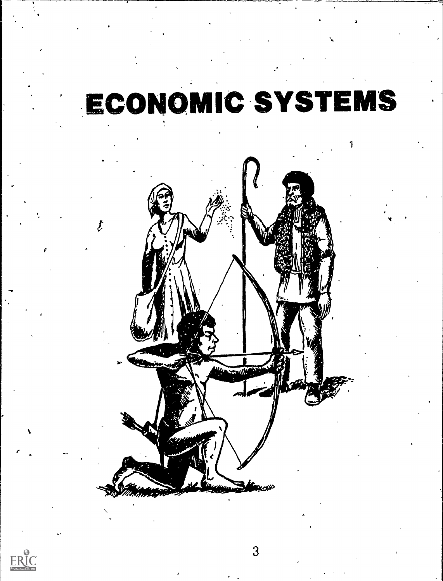# ECONOMIC SYSTEMS

...

.





 $\mathbf{f}$  and  $\mathbf{f}$ 

 $\overline{3}$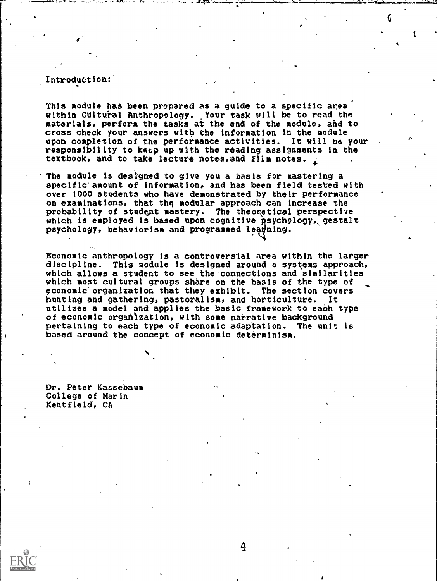#### Introduction:

.s<del>.</del>s.

This module has been prepared as a guide to a specific area'' within Cultural Anthropology. Your task will be to read the strain the strain  $\mathbf{r}$ materials, perform the tasks at the end of the module, and to cross check your answers with the information in the module upon completion of the performance activities. It will be your responsibility to keep up with the reading assignments in the textbook, and to take lecture notes, and film notes.

The module is designed to give you a basis for mastering a specific' amount of informat ion, and has been field tested with over 1000 students who have demonstrated by their performance on examinations, that the modular approach can increase the probability of student mastery. The theoxetical perspective which is employed is based upon cognitive psychology, gestalt psychology, behaviorism and programmed leagning.

Economic anthropology is a controversial area within the larger discipline. This module is designed around a systems approach, which allows a student to see the connections and similarities which most cultural groups share on the basis of the type of cconomic'organization that they exhibit. The section covers hunting and gathering, pastoralism, and horticulture. utilizes a model and applies the basic framework to each type of economic orgahlzation, with some narrative background pertaining to each type of economic adaptation. The unit is based around the concept of economic determinism.

Dr. Peter Kassebaum College of Marin Kentfield, CA

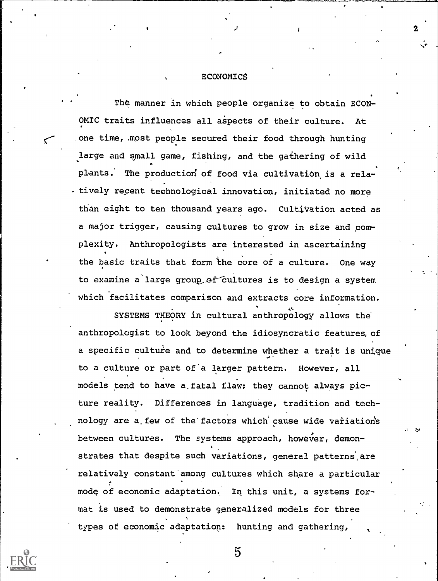#### ECONOMICS

2

 The manner in which people organize to obtain ECON-OMIC traits influences all aspects of their culture. At one time, .most people secured their food through hunting large and small game, fishing, and the gathering of wild plants. The productiod of food via cultivation. is a relatively recent technological innovation, initiated no more than eight to ten thousand years ago. Cultivation acted as a major trigger, causing cultures to grow in size and complexity. Anthropologists are interested in ascertaining the basic traits that form the core of a culture. One way to examine a large group of cultures is to design a system which facilitates comparison and extracts core information.

SYSTEMS THEORY in cultural anthropology allows the e anthropologist to look beyond the idiosyncratic features, of a specific culture and to determine whether a trait is unique to a culture or part of'a larger pattern. However, all models tend to have a.fatal flaw; they cannot always picture reality. Differences in language, tradition and technology are a few of the factors which cause wide variation's between cultures. The systems approach, however, demonstrates that despite such variations, general patterns, are relatively constant among cultures which share a particular mode of economic adaptation. In this unit, a systems format is used to demonstrate generalized models for three types of economic adaptation: hunting and gathering,

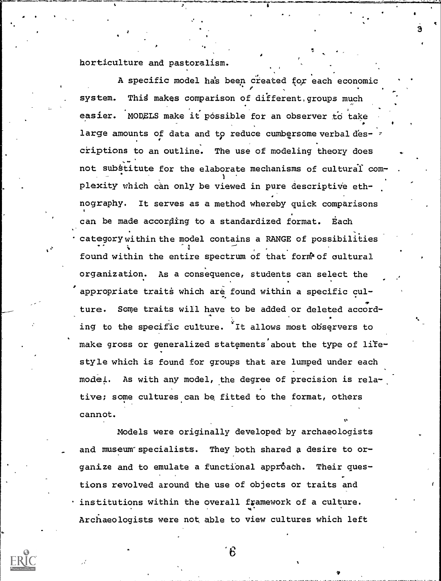horticulture and pastoralism.

J

appropriate traits which are found within a specific cul-A specific model has been created for each economic system. Thid makes comparison of different,groups much easier. MODELS make it possible for an observer to take large amounts of data and to reduce cumbersome verbal descriptions to an outline. The use of modeling theory does  $\qquad \, .$ not substitute for the elaborate mechanisms of cultural complexity which can only be viewed in pure descriptive ethnography. It serves as a method whereby quick comparisons can be made according to a standardized format. Each category within the model contains a RANGE of possibilities  $\overline{1}$ found within the entire spectrum of that form of cultural organization. As a consequence, students can select the ture. Some traits will have to be added or deleted according to the specific culture. It allows most observers to make gross or generalized statements about the type of lifesty le which is found for groups that are lumped under each model. As with any model, the degree of precision is relative; some cultures can be fitted to the format, others cannot.

3

Models were originally developed by archaeologists and museum specialists. They both shared a desire to organize and to emulate a functional approach. Their questions revolved around the use of objects or traits and institutions within the overall framework of a culture. Archaeologists were not able to view cultures which left



 $6\degree$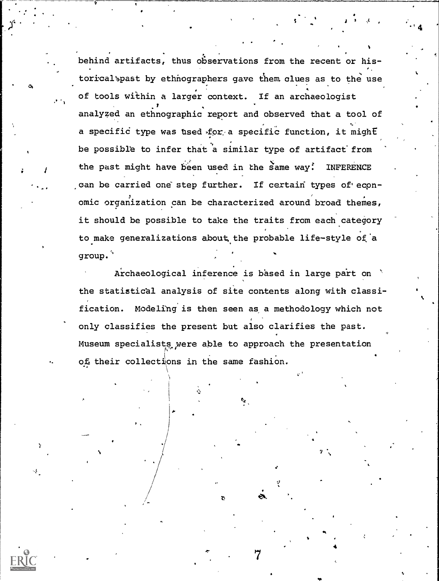behind artifacts, thus observations from the recent or historical past by ethnographers gave them clues as to the use of tools within a larger context. If an archaeologist analyzed an ethnographic report and observed that a tool of a specific type was used for a specific function, it might be possible to infer that a similar type of artifact from the past might have been used in the same way: INFERENCE can be carried one step further. If certain types of economic organization can be characterized around broad themes, it should be possible to take the traits from each category to make generalizations about the probable life-style of a group.

' 4

..

 $\mathfrak{A}$  .

Archaeological inference is based in large part on the statistical analysis of site contents along with classification. Modeling is then seen as a methodology which not only classifies the present but also clarifies the past. Museum specialists were able to approach the presentation ot their collections in the same fashion.

ek.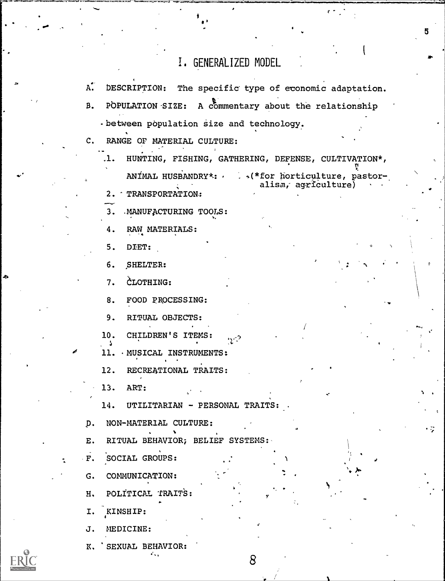## 1, GENERALIZED MODEL

| A.          | DESCRIPTION: The specific type of economic adaptation.                |
|-------------|-----------------------------------------------------------------------|
| В.          | A commentary about the relationship<br>POPULATION SIZE:               |
|             | - between population size and technology.                             |
| $c_{\cdot}$ | RANGE OF MATERIAL CULTURE:                                            |
|             | HUNTING, FISHING, GATHERING, DEFENSE, CULTIVATION*,<br>.1.            |
|             | ANÍMAL HUSBANDRY*: (*for horticulture, pastor-<br>alism, agriculture) |
|             | TRANSPORTATION:<br>2.                                                 |
|             | .MANUFACTURING TOOLS:<br>3.                                           |
|             | RAW MATERIALS:<br>4.                                                  |
|             | 5.<br>DIET:                                                           |
|             | SHELTER:<br>б.                                                        |
|             | CLOTHING:<br>7.                                                       |
|             | FOOD PROCESSING:<br>8.                                                |
|             | 9.<br>RITUAL OBJECTS:                                                 |
|             | 10.<br>CHILDREN'S ITEMS:                                              |
|             | 11.<br>. MUSICAL INSTRUMENTS:                                         |
|             | 12.<br>RECREATIONAL TRAITS:                                           |
|             | 13.<br>ART:                                                           |
|             | 14.<br>UTILITARIAN - PERSONAL TRAITS:                                 |
| p.          | NON-MATERIAL CULTURE:                                                 |
| ${\bf E}$ . | RITUAL BEHAVIOR; BELIEF SYSTEMS:                                      |
| $\cdot$ F.  | SOCIAL GROUPS:                                                        |
| G.          | COMMUNICATION:                                                        |
| н.          | POLITICAL TRAITS:                                                     |
| I.          | KINSHIP:                                                              |
|             | MEDICINE:                                                             |
| J.          |                                                                       |



ð

K. 'SEXUAL BEHAVIOR:

8

5

 $\ddot{z}$ 

 $\epsilon \gamma_{\rm s}^{-1}$ 

 $\frac{1}{2}$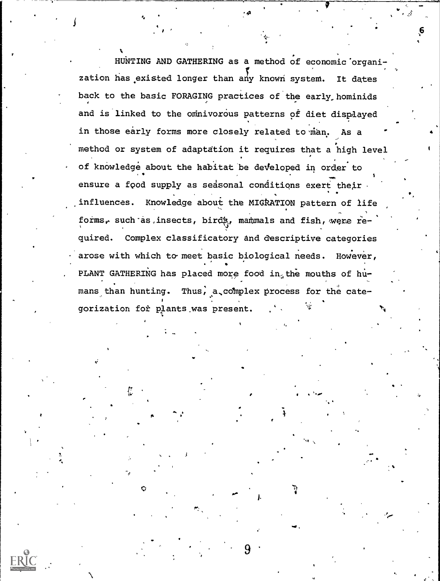HUNTING AND GATHERING as a method of economic'organization has existed longer than any known system. It dates back to the basic FORAGING practices of the early hominids and is linked to the omnivorous patterns of diet displayed in those early forms more closely related to man. As a method or system of adaptation it requires that a high level of knowledge about the habitat be developed in order to ensure a food supply as seasonal conditions exert their .influences. Knowledge about the MIGkATION pattern of life forms, such as, insects, birds, manumals and fish, were required. Complex classificatory and descriptive categories arose with which to meet basic biological needs. However, PLANT GATHERING has placed more food in, the mouths of hu- mans than hunting. Thus, a complex process for the categorization for plants.was present. <sup>4</sup>

#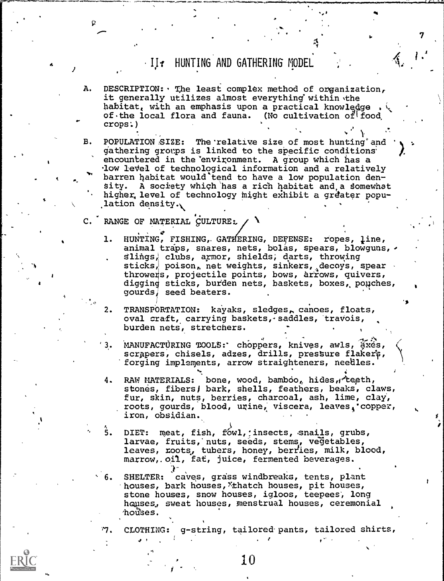## <sup>4</sup> Ijf HUNTING AND GATHERING MODEL

7

A. DESCRIPTION: The least complex method of organization, it generally utilizes almost everything within the habitat, with an emphasis upon a practical knowledge  $\sqrt{a}$ of the local flora and fauna. (No cultivation of food crops'.)

B. POPULATION SIZE: The relative size of most hunting and gathering groups is linked to the specific conditions encountered in the environment. A group which has a low level of technological information and a relatively barren habitat would tend to have a low population den-Sity. A society which'has a rich habitat and,a domewhat higher, level of technology might exhibit a greater population density.,

C. RANGE OF MATERIAL CULTURE:

k

- 1. HUNTING, FISHING, GATHERING, DEFENSE: ropes, line, animal traps, snares, nets, bolas, spears, blowguns, . slings, clubs, armor, shields; darts, throwing sticks, poison, net weights, sinkers, decoys, spear throwers, projectile points, bows, arrows, quivers, digging sticks, burden nets, baskets, boxes, pouches, gourds; seed beaters.
- 2. TRANSPORTATION: kayaks, sledges, canoes, floats, oval craft, carrying baskets, saddles, travois, burden nets, stretchers.
- 3. MANUFACTURING TOOLS: choppers, knives, awls, axes, scrapers, chisels, adzes, drills, pressure flakers, forging implements, arrow straighteners, needles.
- 4. RAW MATERIALS: bone, wood, bamboo, hides, teeth, stones, fibers) bark, shells, feathers, beaks, claws, fur, skin, nuts, berries, charcoal, ash, lime, clay., roots, gourds, blood, urine, viscera, leaves, copper, iron, obsidian.
- 5. DIET: meat, fish, fówl, insects, snails, grubs, larvae, fruits, nuts, seeds, stems, vegetables, leaves, roots, tubers, honey, berries, milk, blood, marrow,.oil, fat, juice, fermented beverages.
- SHELTER: caves, grass windbreaks, tents, plant houses, bark houses, thatch houses, pit houses, stone houses, snow houses, igloos, teepees', long houses, sweat houses, menstrual houses, ceremonial houses.

ንን . CLOTHING: g-string, tailored-pants, tailored shirts,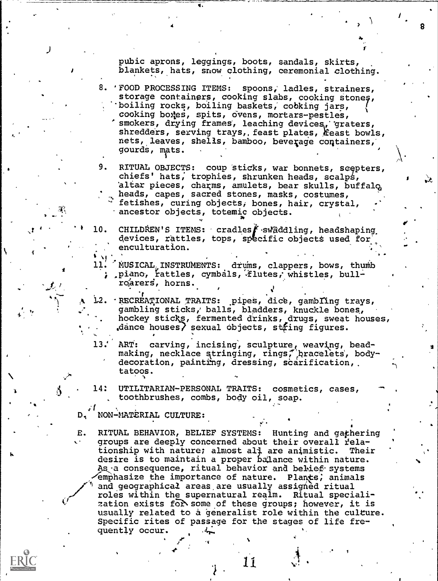pubic aprons, leggings, boots, sandals, skirts, blankets, hats, snow clothing, ceremonial clothing.

4

- 8. 'FOOD PROCESSING ITEMS: spoons, ladles, strainers, storage containers, cooking slabs, cooking stones, 'boiling rocks, boiling baskets; cobking jars, cooking bo4ps, spits, ovens, mortars-pestles, smokers, drying frames, leaching devices, graters, shredders, serving trays, feast plates, feast bowls, nets, leaves, shells, bamboo, beverage containers, gourdS, mats.
- 9. RITUAL OBJECTS: coup sticks, war bonnets, scepters, chiefs' hats; trophies, shrunken heads, scalps, altar pieces, charms, amulets, bear skulls, buffalq, and alternative and alternative  $\sim$ heads, capes, sacred stones, masks, costumes, fetishes, curing objects, bones, hair, crystal, ancestor objects, totemic objects.
- 10. CHILDREN'S ITEMS: cradles f swaddling, headshaping devices, rattles, tops, specific objects used for enculturation.

 $\blacksquare$ 

8

- 11. NUSICAL, INSTRUMENTS: drums, clappers, bows, thumb , piano, rattles, cymbals, flutes, whistles, bullroarers, horns.
- 12. 'RECREATIONAL TRAITS: pipes, dice, gambling trays, gambling sticks,' balls, bladders, knuckle bones, hockey sticks, fermented drinks, drugs, sweat houses, dance houses) sexual objects, string figures.
- 13.' ART: carving, incising, sculpture, weaving, beadmaking, necklace stringing, rings, pracelets, bodydecoration, painting, dressing, scarification, tatoos.
- 14: UTILITARIAN-PERSONAL TRAITS: cosmetics, cases, toothbrushes, combs, body oil, soap.
- Di NON-MATERIAL CULTURE:

 $\mathcal{L}$  , where  $\mathcal{L}$ 

E. RITUAL BEHAVIOR, BELIEF SYSTEMS: Hunting and gathering groups are deeply concerned about their overall relationship with nature; almost all are animistic. Their desire is to maintain a proper balance within nature. As a consequence, ritual behavior and belief systems emphasize the importance of nature. Plants, animals and geographical areas are usually assigned ritual roles within the supernatural realm. Ritual specialization exists for some of these groups; however, it is usually related to a generalist role within the culture. Specific rites of passage for the stages of life frequently occur.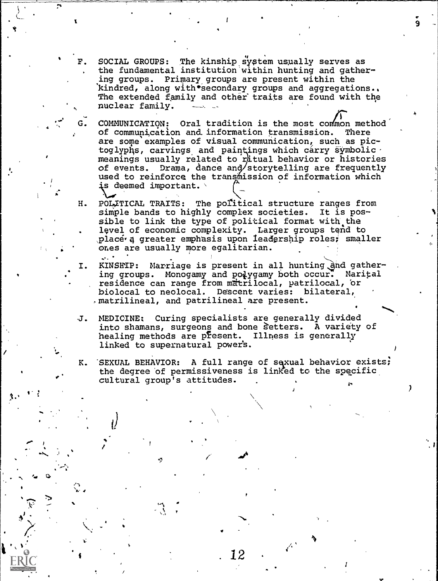F. SOCIAL GROUPS: The kinship system usually serves as , the fundamental institution within hunting and gathering groups. Primary groups are present within the kindred, along with\*secondary groups and aggregations.. The extended family and other' traits are found with the nuclear family.

9

بر الم<sup>ما</sup>لية

 $\overline{\phantom{a}}$ 

- COMMUNICATION: Oral tradition is the most common method of communication and. information transmission. There are some examples of visual communication, such as pictoglyphs, carvings and paintings which carry symbolic. meanings usually related to ritual behavior or histories of events. Drama, dance and/storytelling are frequently used to reinforce the transmission of information which is deemed important.  $\backslash$
- H. POLITICAL TRAITS: The political structure ranges from simple bands to highly complex societies. It is possible to link the type of political format with the level of economic complexity. Larger groups tend to place a greater emphasis upon leadership roles, smaller ones are usually more egalitarian.
- I. KINSHIP: Marriage is present in all hunting and gathering groups. Monogamy and polygamy both occur. Marital residence can range from matrilocal, patrilocal, or biolocal to neolocal. Descent varies: bilateral, .matrilineal, and patrilineal are present.
- J. MEDICINE; Curing specialists are generally divided into shamans, surgeons and bone Setters. A variety of healing methods are present. Illness is generally linked to supernatural power's.
- K. 'SEXUAL BEHAVIOR: A full range of sexual behavior exists; the degree of permissiveness is linked to the specific cultural group's attitudes.

tion and the second contract of the second contract of the second contract of the second contract of the second contract of the second contract of the second contract of the second contract of the second contract of the se

 $. 12$  . .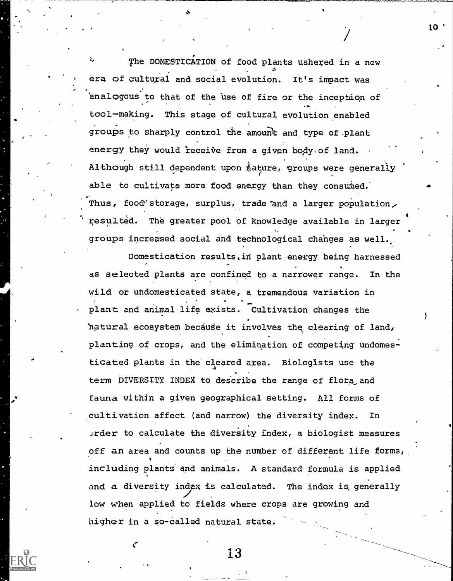The DOMESTICATION of food plants ushered in a new era of cultural and social evolution. It's impact was analogous to that of the use of fire or the inception of ap. tool-making. This stage of cultural evolution enabled groups to sharply control the amount and type of plant energy they would receive from a given body of land. Although still dependent upon mature, groups were generally able to cultivate more food energy than they consumed. Thus, food'storage, surplus, trade and a larger population, resulted. The greater pool of knowledge available in larger groups increased social and technological chahges as well.

10

\_

Domestication results. in plant energy being harnessed as selected plants are confined to a narrower range. In the wild or undomesticated state, a tremendous variation in plant and animal life exists. Cultivation changes the 'natural ecosystem because it involves the clearing of land, planting of crops, and the elimination of competing undomesticated plants in the'cleared area. Biologists use the term DIVERSITY INDEX to describe the range of flora and fauna within a given geographical setting. All forms of cultivation affect (and narrow) the diversity index. In  $order$  to calculate the diversity index, a biologist measures off an area and counts up the number of different life forms, including plants and animals. A standard formula is applied w and a diversity index is calculated. The index is generally low when applied to fields where crops are growing and higher in a so-called natural state.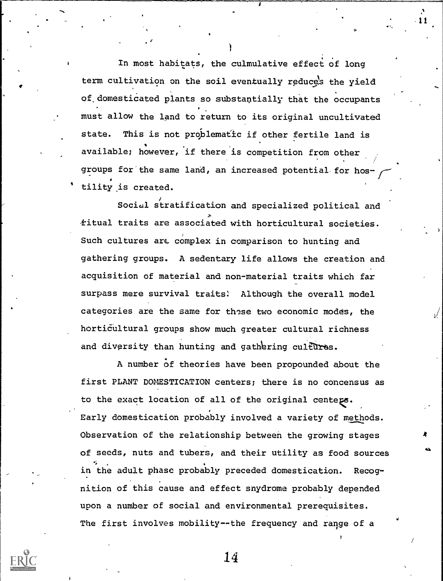In most habitats, the culmulative effect of long term cultivation on the soil eventually reduces the vield of.domesticated plants so substantially that the occupants must allow the land to return to its original uncultivated state. This is not problematic if other fertile land is available; however, 'if there is competition from other groups for the same land, an increased potential for hos tility is created.

Social stratification and specialized political and fitual traits are associated with horticultural societies. Such cultures arc complex in comparison to hunting and gathering groups. A sedentary life allows the creation and acquisition of material and non-material traits which far surpass mere survival traits: Although the overall model categories are the same for these two economic modes, the horticultural groups show much greater cultural richness and diversity than hunting and gathering cultures.

A number of theories have been propounded about the first PLANT DOMESTICATION centers; there is no concensus as to the exact location of all of the original centegs. Early domestication probably involved a variety of methods. Observation of the relationship between the growing stages of seeds, nuts and tubers, and their utility as food sources in the adult phase probably preceded domestication. Recognition of this cause and effect snydrome probably depended upon a number of social and environmental prerequisites. The first involves mobility--the frequency and range of a



14

r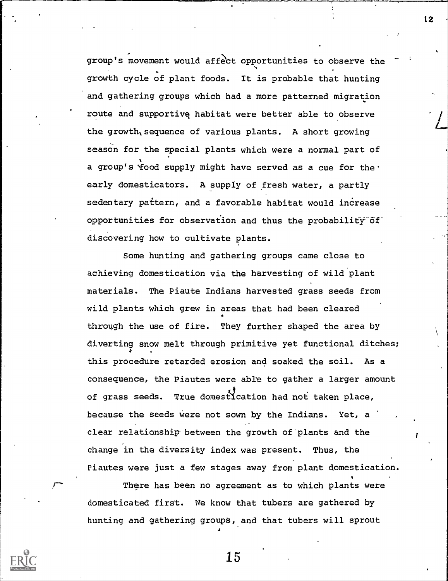group's movement would affect opportunities to observe the growth cycle of plant foods. It is probable that hunting and gathering groups which had a more patterned migration route and supportive; habitat were better able to observe the growth sequence of various plants. A short growing season for the special plants which were a normal part of a group's food supply might have served as a cue for the. early domesticators. A supply of fresh water, a partly sedentary pattern, and a favorable habitat would increase opportunities for observation and thus the probability of discovering how to cultivate plants.

Some hunting and gathering groups came close to achieving domestication via the harvesting of wild plant materials. The Piaute Indians harvested grass seeds from wild plants which grew in areas that had been cleared through the use of fire. They further shaped the area by diverting snow melt through primitive yet functional ditches; this procedure retarded erosion and soaked the soil. As a consequence, the Piautes were able to gather a larger amount of grass seeds. True domestication had not taken place, because the seeds were not sown by the Indians. Yet, a clear relationship between the growth of plants and the change in the diversity index was present. Thus, the Piautes were just a few stages away from plant domestication.

There has been no agreement as to which plants were domesticated first. We know that tubers are gathered by hunting and gathering groups, and that tubers will sprout



15

12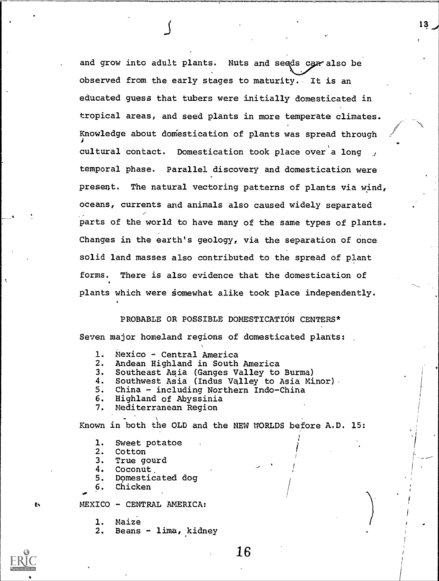and grow into adult plants. Nuts and seeds carralso be observed from the early stages to maturity. It is an educated guess that tubers were initially domesticated in tropical areas, and seed plants in more temperate climates. Knowledge about dom'estication of plants was spread through cultural contact. Domestication took place over a long, temporal phase. Parallel discovery and domestication were present. The natural vectoring patterns of plants via wind, oceans, currents and animals also caused widely separated parts of the world to have many of the same types of plants. Changes in the earth's geology, via the separation of once solid land masses also contributed to the spread of plant forms. There is also evidence that the domestication of plants which were somewhat alike took place independently.

J

PROBABLE OR POSSIBLE DOMESTICATION CENTERS\* Seven major homeland regions of domesticated plants:

- 1. Mexico Central America<br>2. Andean Highland in South
- 
- 2. Andean Highland in South America<br>3. Southeast Asia (Ganges Valley to 3. Southeast Asia (Ganges Valley to Burma)
- 4. Southwest Asia (Indus Valley to Asia Minor).<br>5. China including Northern Indo-China
- 5. China including Northern Indo-China
- 6. Highland of Abyssinia
- 7. Mediterranean Region

Known in both the OLD and the NEW WORLDS before A.D. 15:

- 1. Sweet potatoe<br>2. Cotton
- **Cotton**
- 3. True gourd
- 4. Coconut,
- 5. Domesticated dog
- 6. Chicken

MEXICO - CENTRAL AMERICA:

1. Maize

2. Beans - lima, kidney



ь

**I** and the second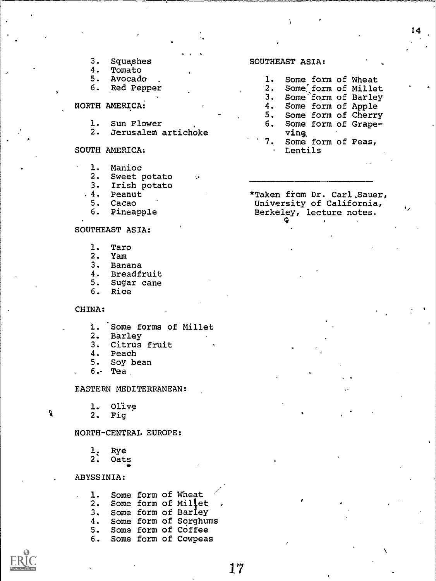14

 $\mathbf{v}_\mathrm{z}$  . The set

- 3. Squashes<br>4. Tomato
- 4. Tomato<br>5. Avocado
- 5. Avocado<br>6. Red Pepr
- Red Pepper
- NORTH AMERICA:
	- 1. Sun Flower<br>2. Jerusalem
	- 2. Jerusalem artichoke
- SOUTH AMERICA:
	- 1. Manioc
	- 2. Sweet potato
	- 3. Irish potato
	- .4. Peanut
	- 5. Cacao
	- 6. Pineapple

#### SOUTHEAST ASIA:

- 1. Taro<br>2. Yam
- 2. Yam<br>3. Bana
- 3. Banana
- 4. Breadfruit<br>5. Sugar cane
- 5. Sugar cane
- Rice

#### CHINA:

- 1. Some forms of Millet<br>2. Barley
- 2. Barley<br>3. Citrus
- 3. Citrus fruit
- 4. Peach<br>5. Soy be
- Soy bean
- 6. Tea

EASTERN MEDITERRANEAN:

1. Olive<br>2. Fig

Fig

#### NORTH-CENTRAL EUROPE:

- 1: Rye<br>2: Oat:
- 2. Oats

#### ABYSSINIA:

|  |  | 1. Some form of Wheat    |
|--|--|--------------------------|
|  |  | 2. Some form of Millet.  |
|  |  | 3. Some form of Barley   |
|  |  | 4. Some form of Sorghums |
|  |  | 5. Some form of Coffee   |
|  |  | 6. Some form of Cowpeas  |

у

#### SOUTHEAST ASIA:

| 1. . |      |  | Some form of Wheat     |  |
|------|------|--|------------------------|--|
|      |      |  | 2. Some form of Millet |  |
|      |      |  | 3. Some form of Barley |  |
|      |      |  | 4. Some form of Apple  |  |
|      |      |  | 5. Some form of Cherry |  |
|      |      |  | 6. Some form of Grape- |  |
|      | ving |  |                        |  |
|      |      |  | 7. Some form of Peas,  |  |
|      |      |  |                        |  |

\*Taken fiom Dr. Carl,Sauer,

Lentils

University of California, Berkeley, lecture notes.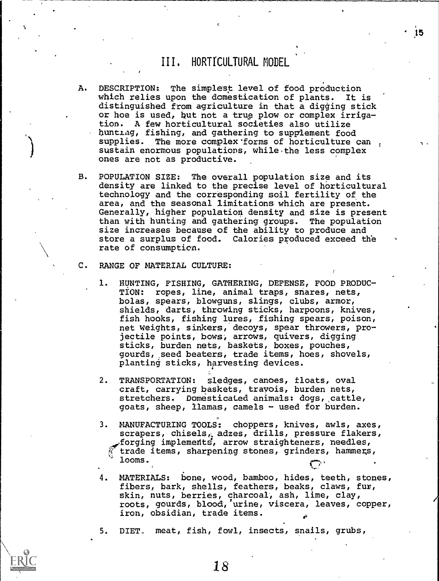## III, HORTICULTURAL MODEL

- A. DESCRIPTION: The simplest level of food production which relies upon the domestication of plants. It is distinguished from agriculture in that a digging stick or hoe is used, but not a true plow or complex irriga-A few horticultural societies also utilize bunting, fishing, and gathering to supplement food supplies. The more complex'forms of horticulture can sustain enormous populations, while the less complex ones are not as productive.
- B. POPULATION SIZE: The overall population size and its density are linked to the precise level of horticultural technology and the corresponding soil fertility of the area, and the seasonal limitations which are present. Generally, higher population density and size is present than with hunting and gathering groups. The population size increases because of the ability to produce and store a surplus of food. Calories produced exceed the rate of consumption.
- C. RANGE OF MATERIAL CULTURE:
	- 1. HUNTING, FISHING, GATHERING, DEFENSE, FOOD PRODUC-TION: ropes, line, animal traps, snares, nets, bolas, spears, blowguns, slings, clubs, armor, shields, darts, throwing sticks, harpoons, knives, fish hooks, fishing lures, fishing spears, poison, net weights, sinkers, decoys, spear throwers, projectile points, bows, arrows, quivers, digging sticks, burden nets, baskets, boxes, pouches, gourds,,seed beaters, trade items, hoes, shovels, planting sticks, harvesting devices.
	- 2. TRANSPORTATION: sledges, canoes, floats, oval craft, carrying baskets, travois, burden nets, stretchers. Domesticated animals: dogs, cattle, goats, sheep, llamas, camels - used for burden.
	- 3. MANUFACTURING TOOLS: choppers, knives, awls, axes, scrapers, chisels, adzes, drills, pressure flakers, forging implemedtg, arrow straighteners, needles, trade items, sharpening stones, grinders, hammers, looms.  $\mathcal{L}$  (1) and (1) and (1) and (1) and (1) and (1) and (1) and (1) and (1) and (1) and (1) and (1) and (1) and (1) and (1) and (1) and (1) and (1) and (1) and (1) and (1) and (1) and (1) and (1) and (1) and (1) and (1)
	- 4. MATERIALS: bone, wood, bamboo, hides, teeth, stones, fibers, bark, shells, feathers, beaks, claws, fur, skin, nuts, berries, charcoal, ash, lime, clay, roots, gourds, blood,'urine, viscera, leaves, copper, iron, obsidian, trade items.
	- 5. DIET., meat, fish, fowl, insects, snails, grubs,



15

-,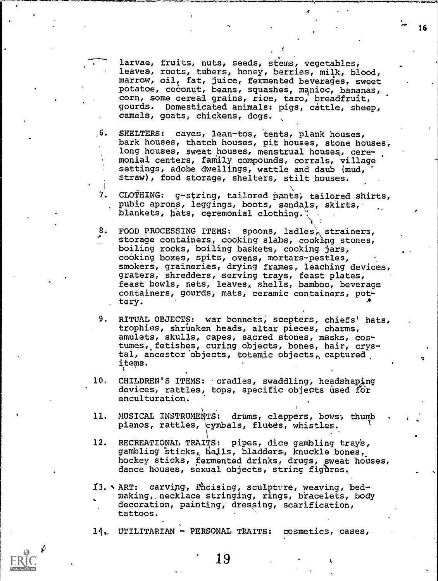larvae, fruits, nuts, seeds, stems, vegetables, leaves, roots, tubers, honey, berries, milk, blood, marrow, oil, fat, juice, fermented beverages, sweet potatoe, coconut, beans, sguasheS, manioc, bananas, corn, some cereal grains, rice, taro, breadfruit, gourds. Domesticated animals: pigs, cattle, sheep, camels, goats, chickens, dogs.

.<br>Makanati kiwa jijini kama ya ngendi Miammin mangama na mana na manga Manga at ngana sa , ngabana na , ngabana

16

.6. SHELTERS: caves, lean-tos, tents, plank houses, bark houses, thatch houses, pit houses, stone houses, long houses, sweat houses, menstrual houses, ceremonial centers, famiily compounds, corrals, village settings, adobe dwellings, wattle and daub (mud, straw), food storage, shelters, stilt houses.

7. CLOTHING: g-string, tailored pants, tailored shirts, pubic aprons, leggings, boots, sandals, skirts, blankets, hats, ceremonial clothing..

8. FOOD PROCESSING ITEMS: spoons, ladles, strainers, storage containers, cooking slabs, cooking stones, boiling rocks, boiling baskets, cooking jars, cooking boxes, spits, ovens, mortars-pestles, smokers, graineries, drying frames, leaching devices, graters, shredders, serving trays, feast plates, feast bowls, nets, leaves, shells, bamboo, beverage containers, gourds, mats, ceramic containers, pottery.

9. RITUAL OBJECTS: war bonnets; scepters, chiefs' hats, trophies, shrunken heads, altar pieces, charms, amulets, skulls, capes, sacred stones, masks, costumes, fetishes, curing objects, bones, hair, crystal, ancestor objects, totemic objects, captured. items.

10. CHILDREN'S ITEMS: cradles, swaddling, headshaping devices, rattles, tops, specific objects used for enculturation.

11. musrcAL INSTRUMENTS: drums, clappers, bows, thumb pianos, rattles, cymbals, flutes, whistles.

12. RECREATIONAL TRAITS: pipes, dice gambling tray's, gambling sticks, balls, bladders, knuckle bones, hockey sticks, fermented drinks, drugs, sweat houses, dance houses, sexual objects, string figures,

II.% ART: carvipg, ihcising, sculptors, weaving, bedmaking, necklace stringing, rings, bracelets, body decoration, painting, dressing, scarification, tattoos.

14. UTILITARIAN - PERSONAL TRAITS: cosmetics, cases,

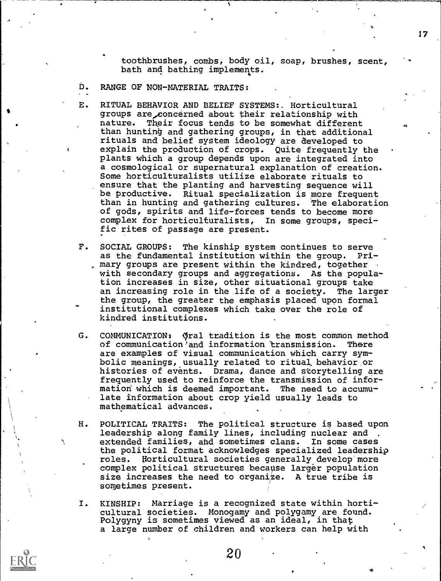toothbrushes, combs, body oil, soap, brushes, scent, bath and bathing implements.

D. RANGE OF NON-MATERIAL TRAITS:

- E. RITUAL BEHAVIOR AND BELIEF SYSTEMS:. Horticultural groups are concerned about their relationship with nature. Their focus tends to be somewhat different than hunting and gathering groups, in that additional rituals and belief system ideology are developed to explain the production of crops. Quite frequently the plants which a group depends upon are integrated into a cosmological or supernatural explanation of creation. Some horticulturalists utilize elaborate rituals to ensure that the planting and harvesting sequence will be productive. Ritual specialization is more frequent than in hunting and gathering cultures. The elaboration of gods, spirits and life-forces tends to become more complex for horticulturalists, In some groups, specific rites of passage are present.
- F. SOCIAL GROUPS: The kinship system continues to serve as the fundamental institution within the group. Primary groups are present within the kindred, together with secondary groups and aggregations. As the population increases in size, other situational groups take an increasing role in the life of a society. The larger the group, the greater the emphasis placed upon formal institutional complexes which take over the role of kindred institutions.
- G. COMMUNICATION: qral tradition is the most common method of communication' and information 'transmission. There are examples of visual communication which carry symbolic meanings, usually related to ritual. behavior or histories of events. Drama, dance and storytelling are frequently used to reinforce the transmission of information which is deemed important. The need to accumulate information about crop yield usually leads to mathematical advances.
- H. POLITICAL TRAITS: The political structure is based upon leadership along family lines, including nuclear and extended families, and sometimes clans. In some cases the political format acknowledges specialized leadership roles. Uorticultural societies generally develop more complex political structures because larger population size increases the need to organize. A true tribe is sometimes present.
- I. KINSHIP: Marriage is a recognized state within horticultural societies. Monogamy and polygamy are found. Polygyny is sometimes viewed as an ideal, in that a large number of children and workers can help with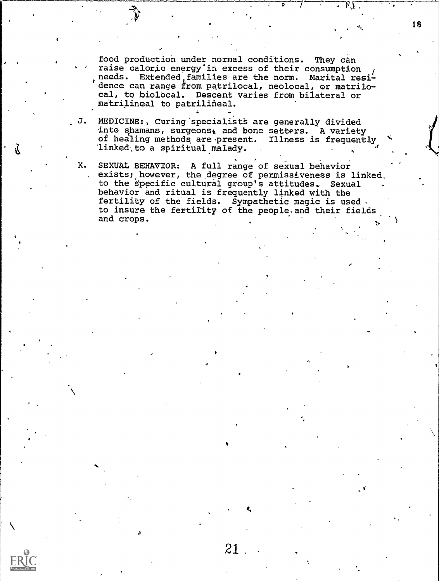food production under normal conditions. They can raise caloric energy'in excess of their consumption / needs. Extended families are the norm. Marital residence can range from patrilocal, neolocal, or matrilocal, to biolocal. Descent varies from bilateral or matrilineal to patrilineal.

- J. MEDICINE:, Curing specialists are generally divided into shamans, surgeons, and bone setters. A variety of healing methods are present. Illness is frequently linked to a spiritual malady.
- K. SEXUAL BEHAVIOR: A full range of sexual behavior exists; however, the degree of permissiveness is linked, where  $\cdot$ to the specific cultural group's attitudes. Sexual . behavior and ritual is frequently linked with the fertility of the fields. Sympathetic magic is used. to insure the fertility of the people.and their fields and crops.

 $\sim$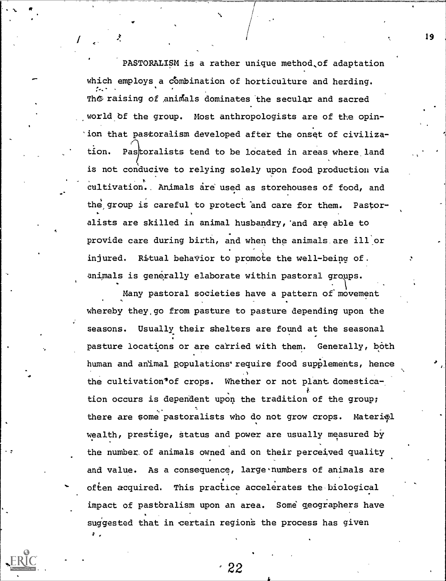PASTORALISM is a rather unique method,of adaptation which employs a combination of horticulture and herding. The raising of animals dominates the secular and sacred world bf the group. Most anthropologists are of the opinion that pastoralism developed after the onset of civiliza-  $\cap$ tion. Pastoralists tend to be located in areas where land is not conducive to relying solely upon food production via cultivation.. Animals are used as storehouses of food, and the, group is careful to protect and care for them. Pastoralists are skilled in animal husbandry,'and are able to provide care during birth, and when the animals are ill or injured. Ritual behavior to promote the well-being of. animals is generally elaborate within pastoral groups.

19

Many pastoral societies have a pattern of movement whereby they.go from pasture to pasture depending upon the seasons. Usually their shelters are found at the seasonal pasture locations or are carried with them. Generally, both human and animal populations' require food supplements, hence the cultivation'of crops. Whether or not plant domestication occurs is dependent upon the tradition of the group; there are some pastoralists who do not grow crops. Material wealth, prestige, status and power are usually measured by the number of animals owned and on their perceived quality and value. As a consequence, large numbers of animals are often acquired. This practice accelerates the biological impact of pastbralism upon an area. Some geographers have suggested that in certain regions the process has given  $\mathcal{I}$  , where  $\mathcal{I}$ 

 $\bullet$  and  $\bullet$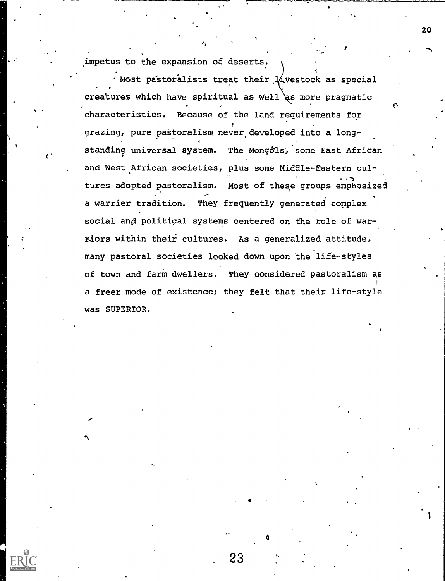.impetus to the expansion of deserts.

ti

. Most pastoralists treat their  $1/$ vestock as special creatures which have spiritual as well as more pragmatic characteristics, Because of the land requirements for grazing, pure pastoralism never developed into a longstanding universal system. The Mongols, some East African and West African societies, plus some Middle-Eastern cultures adopted pastoralism. Most of these groups emphasized a warrier tradition. They frequently generated complex social and political systems centered on the role of warriors within their: cultures. As a generalized attitude, many pastoral societies looked down upon the life-styles of town and farm dwellers. They considered pastoralism as a freer mode of existence; they felt that their life-style was SUPERIOR.

. 23

ti a controller della controller della controller della controller della controller della controller della con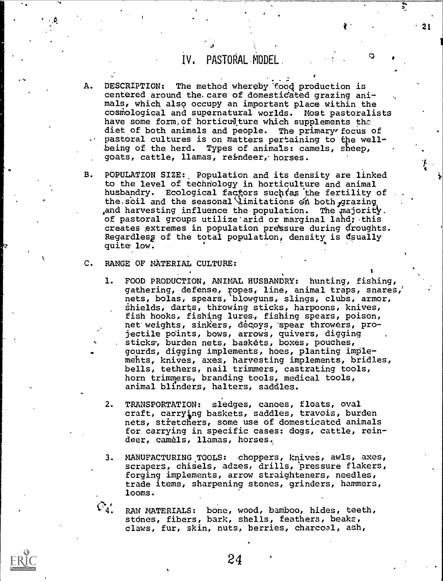## IV, PASTORAL MODEL

 $\mathcal{J}$  and  $\mathcal{J}$ 

- A. DESCRIPTION: The method whereby food production is centered around the. care of domestidated grazing animals, which also occupy an important place within the cosmological and supernatural worlds. Most pastoralists have some form, of horticud ture which supplements the diet of both animals and people. The primary focus of pastoral cultures is on matters pertaining to the wellbeing of the herd. Types of animals: camels, sheep, goats, cattle, llamas, reindeer,- horses.
- B. POPULATION SIZE: Population and its density are linked to the level of techriology in horticulture and animal husbandry. Ecological factors such tas the fertility of the soil and the seasonal *limitations on both grazing* and harvesting influence the population. The majority. of pastoral groups utilize arid or marginal lahd; this creates extremes in population pressure during droughts. Regardless of the total population, density is usually quite low.
- C. RANGE OF MATERIAL CULTURE:
	- 1. FOOD PRODUCTION, ANIMAL HUSBANDRY: hunting, fishing, gathering, defense, ropes, line, animal traps, snares,' nets, bolas, spears, blowguns, slings, clubs, armor, shields, darts, throwing sticks, harpoons, knives, fish hooks, fishing lures, fishing spears, poison, net weights, sinkers, decoys, "spear throwers, projectile points, bows, arrows, quivers, digging sticks, burden nets, baskets, boxes, pouches, gourds, digging implements, hoes, planting implemehts, knives, axes, harvesting implements, bridles, bells, tethers, nail trimmers, castrating tools, horn trimmers, branding tools, medical tools, animal blinders, halters, saddles.
	- 2. TRANSPORTATION: sledges, canoes, floats, oval craft, carrying baskets, saddles, travois, burden nets, stretchers, some use of domesticated animals for carrying in specific cases: dogs, cattle, reindeer, camels, llamas, horses.,
	- 3. MANUFACTURING TOOLS: choppers, knives, awls, axes, scrapers, chisels, adzes, drills, 'pressure flakers, forging implements, arrow straighteners, needles, trade items, sharpening stones, grinders, hammers, looms.

RAW MATERIALS: bone, wood, bamboo, hides, teeth, stones, fibers, bark, shells, feathers, beaks, claws, fur, skin, nuts, berries, charcoal, ash,



21

 $\blacksquare$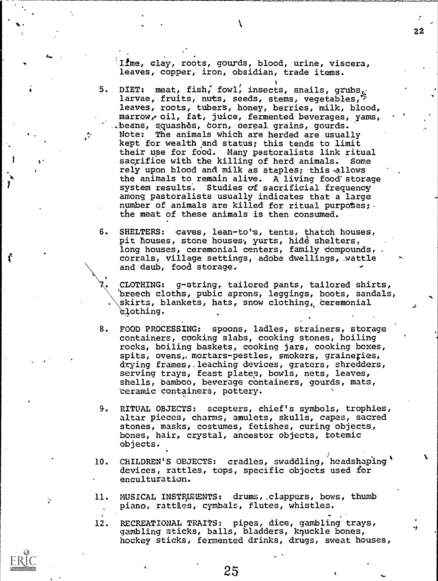Ifme, clay, roots, gourds, blood, urine, viscera, leaves, copper, iron, obsidian, trade items.

22

-1

 $\sim$ 

Ť

5. DIET: meat, fish, fowl, insects, snails, grubs,  $\sim$ larvae, fruits, nuts, seeds, stems, vegetables,<sup>25</sup> leaves, roots, tubers, honey, berries, milk, blood, marrow, oil, fat, juice, fermented beverages, yams, .beans, squashès, corn, cereal grains, gourds. Note: The animals which are herded are usually kept for wealth and status; this tends to limit their use for food. Many pastoralists link ritual sacrifice with the killing of herd animals. Some rely upon blood and milk as staples; this-allows the animals to remain alive. A living food'storage system results. Studies of sacrificial frequency among pastoralists usually indicates that a large number of animals are killed for ritual purposes;  $\cdot$ the meat of these animals is then consumed.

6. SHELTERS: caves, lean-to's, tents, thatch houses, pit houses, stone houses, yurts, hide shelters, long houses, ceremonial centers, family compounds, corrals, village settings, adobe dwellings, wattle and daub, food storage.

. CLOTHING: g-string, tailored pants, tailored shirts, 'breech cloths, pubic aprons, leggings, boots, sandals, \ skirts, blankets, hats, snow clothing, ceremonial lothing.

- 8. FOOD PROCESSING: spoons, ladles, strainers, storage containers, cooking slabs, cooking stones, boiling rocks, boiling baskets, cooking jars, cooking boxes, spits, ovens, mortars-pestles, smokers, graineries, drying frames,.leaching devices, graters, shredders, serving trays, feast plates, bowls, nets, leaves, shells, bamboo, beverage containers, gourds, mats, Ceramic containers, pottery.
- 9. RITUAL OBJECTS: scepters, chief's symbols, trophies, altar pieces, charms, amulets, skulls, capes, sacred stones, masks, costumes, fetishes, curing objects,, bones, hair, crystal, ancestor objects, totemic objects.
- 10. CHILDREN'S OBJECTS: cradles, swaddling, headshaping' devices, rattles, tops, specific objects used for enculturation.
- 11. MUSICAL INSTRUMENTS: drums, clappers, bows, thumb piano, rattles, cymbals, flutes, whistles.

12. RECREATIONAL TRAITS: pipes, dice, gambling trays, gambling sticks, balls, bladders, knuckle bones, hockey sticks, fermented drinks, drugs, sweat houses,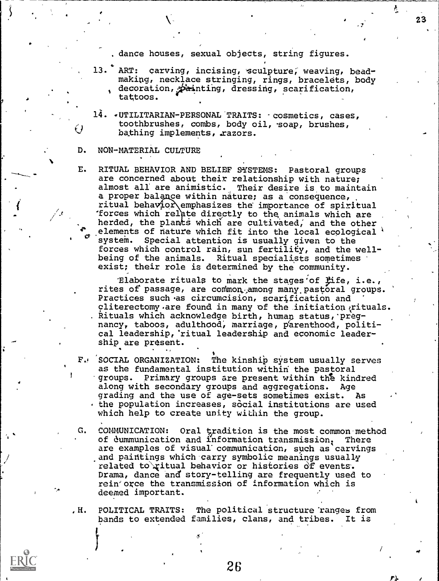dance houses, sexual objects, string figures.

- 7

23

 $\mathcal{T}$  and  $\mathcal{T}$ 

- 13. ART: carving, incising, sculpture, weaving, beadmaking, necklace stringing, rings, bracelets, body decoration,  $p$  anting, dressing, scarification,  $\sqrt{2}$ tattoos.
- 14. -UTILITARIAN-PERSONAL TRAITS: -cosmetics, cases, Q coothbiusnes, comps, body off, soap toothbrushes, combs, body oil, -soap, brushes,

#### D. NON-MATERIAL CULTURE

.

E. RITUAL BEHAVIOR AND BELIEF SYSTEMS: Pastoral groups are concerned about their relationship with nature; almost all' are animistic. Their desire is to maintain a proper balance within nature; as a consequence, ritual behavior emphasizes the importance of spiritual forces which relate directly to the animals which are herded, the plants which are cultivated, and the other elements of nature which fit into the local ecological system. Special attention is usually given to the forces which control rain, sun fertility, and the wellbeing of the animals. Ritual specialists sometimes exist; their role is determined by the community.

Blaborate rituals to mark the stages of *fife*, i.e., rites of passage, are common among many pastoral groups. Practices such as circumcision, scarification and cliterectomy.are found in many of the initiation  $i$ rituals. Rituals which acknowledge birth, human status, pregnancy, taboos, adulthood, marriage, parenthood, political leadership, ritual leadership and economic leadership are present.

- F. SOCIAL ORGANIZATION: The kinship system usually serves as the fundamental institution within the pastoral groups. Primary groups are present within the kindred along with secondary groups and aggregations. Age grading and the use of age-sets sometimes exist. As the population increases, social institutions are used which help to create unity wiLhin the group.
- G. COMMUNICATION: Oral tradition is the most common method of dummunication and information transmission. There are examples of visual communication, such as carvings and paintings which carry symbolic meanings usually related to ritual behavior or histories of events. Drama, dance and story- telling are frequently used to rein'orce the transmission of information which is deemed important.
- , H. POLITICAL TRAITS: The political structure ranges from bands to extended families, clans, and tribes. It is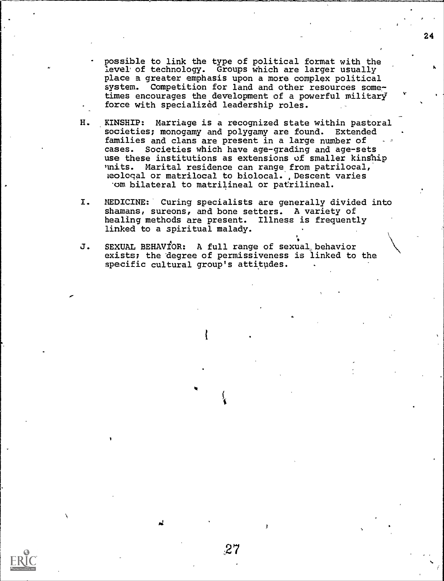- possible to link the type of political format with the level of technology. Groups which are larger usually place a greater emphasis upon a more complex political system. Competition for land and other resources sometimes encourages the development of a powerful military force with specialized leadership roles.
- H. KINSHIP: Marriage is a recognized state within pastoral societies; monogamy and polygamy are found. Extended families and clans are present in a large number of cases. Societies which have age-grading and age-sets use these institutions as extensions of smaller kinship<br>units. Marital residence can range from patrilocal. Marital residence can range from patrilocal, heologal or matrilocal to biolocal. , Descent varies 'om bilateral to matrilineal or patrilineal.
- I. MEDICINE: Curing specialists are generally divided into shamans, sureons, and bone setters. A variety of healing methods are present. Illness is frequently linked to a spiritual malady.
- J. SEXUAL BEHAVIOR: A full range of sexual behavior exists; the degree of permissiveness is linked to the specific cultural group's attitudes.

**the contract of the contract of the contract of the contract of the contract of the contract of the contract o** 

 $\overline{\phantom{a}}$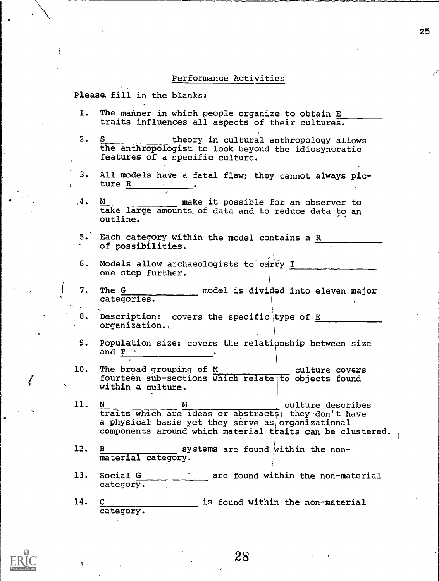#### Performance Activities

Please fill in the blanks:

- 1. The manner in which people organize to obtain E traits influences all aspects of their cultures.
- 2. S second theory in cultural anthropology allows the anthropologist to look beyond the idiosyncratic features of a specific culture.
- 3. All models have a fatal flaw; they cannot always picture R
- $,4$ .  $M_{\ast}$  make it possible for an observer to take large amounts of data and to reduce data to an outline.
- 5. Each category within the model contains a  $R$ of possibilities.
- 6. Models allow archaeologists to carry I one step further.
- 7. The  $G$  model is divided into eleven major categories.
- 8. Description: covers the specific type of E organization.,
- 9. Population size: covers the relationship between size and  $T \sim$
- 10. The broad grouping of M and H culture covers fourteen sub-sections which relate to objects found within a culture.
- culture describes 11. N M traits which are ideas or abstracts; they don't have a physical basis yet they serve as organizational components around which material traits can be clustered.
- 12.  $B_{\text{max}}$  systems are found within the nonmaterial category.
- 13. Social G are found within the non-material category.
- 14. C is found within the non-material category.



 $\ell$  .

28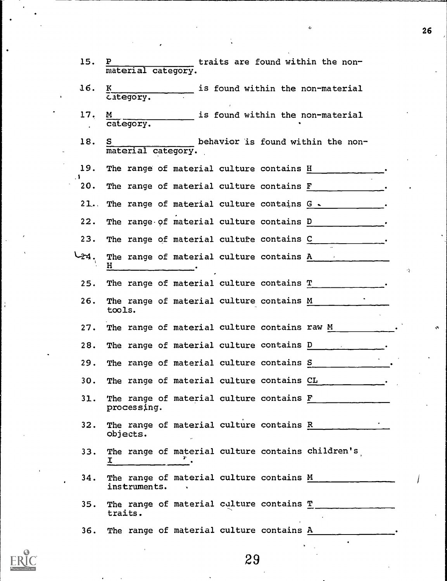| 15.              | traits are found within the non-<br>P<br>material category.                                              |
|------------------|----------------------------------------------------------------------------------------------------------|
| 16.              | is found within the non-material<br>к<br>category.                                                       |
| 17.              | is found within the non-material<br>M<br>category.                                                       |
| 18.              | behavior is found within the non-<br>S<br>material category.                                             |
| 19.              | The range of material culture contains H                                                                 |
| $\cdot$ .<br>20. | The range of material culture contains F                                                                 |
| 21.              | The range of material culture contains G .                                                               |
| 22.              | The range of material culture contains D                                                                 |
| 23.              | The range of material culture contains C                                                                 |
| .44 جا           | The range of material culture contains A<br>H.<br>٠Ņ                                                     |
| 25.              | The range of material culture contains T                                                                 |
| 26.              | The range of material culture contains M<br>tools.                                                       |
| 27.              | The range of material culture contains raw M                                                             |
| 28.              | The range of material culture contains D                                                                 |
| 29.              | The range of material culture contains S                                                                 |
| 30.              | The range of material culture contains CL                                                                |
| 31.              | The range of material culture contains F<br>processing.                                                  |
| 32.              | The range of material culture contains R<br>objects.                                                     |
| 33.              | The range of material culture contains children's<br>$\mathbf{I}$ $\mathbf{I}$ $\mathbf{I}$ $\mathbf{I}$ |
| 34.              | The range of material culture contains M<br>instruments.                                                 |
| 35.              | The range of material culture contains $T$ ______________<br>traits.                                     |
| 36.              | The range of material culture contains A                                                                 |



 $\frac{1}{\epsilon}$ 

 $26$ 

ç.

ò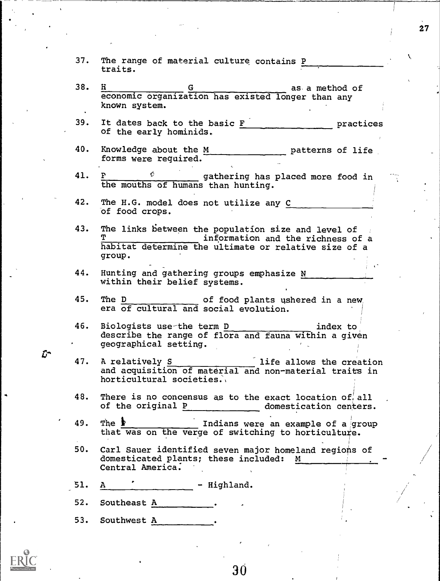- 37. The range of material culture contains P traits.
- $38.$  H  $\qquad \qquad \underline{G}$  as, a method of economic organization has existed longer than any known system.
- 39. It dates back to the basic  $F_{-}$  practices of the early hominids.
- 40. Knowledge about the M patterns of life forms were required.
- 41.  $\underline{P}$   $\phi$  gathering has placed more food in the mouths of humans than hunting.
- 42. The H.G. model does not utilize any C of food crops.
- 43. The links between the population size and level of information and the richness of a habitat determine the ultimate or relative size of a group.
- 44. Hunting and gathering groups emphasize N within their belief systems.
- 45. The D of food plants ushered in a new, era of cultural and social evolution.
- 46. Biologists use-the term <u>D and the secondary states</u> index to describe the range of flora and fauna within a given geographical setting.
- 47. A relatively S and the allows the creation and acquisition of material and non-material traits in horticultural societies.
- 48. There is no concensus as to the exact location of all of the original  $P_1$  domestication centers.
- 49. The **i I**ndians were an example of a group that was on the verge of switching to horticulture.
- 50. Carl Sauer identified seven major homeland regions of domesticated plants; these included: M Central America.
- 51. A  $\qquad$  Highland.
- 52. Southeast A
- 53. Southwest A



Ľ.

30